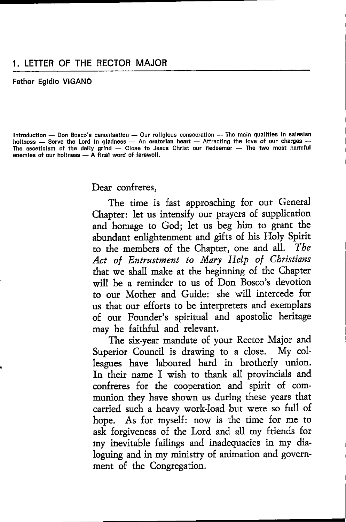Father Egldlo VIGANO

Introduction — Don Bosco's canonisation — Our religious consecration — The main qualities in salesiar Introduction — Don Bosco's canonisation — Our religious consecration — The main qualities in sales:<br>hollness — Serve the Lord in gladness — An <mark>oratorian heart</mark> — Attracting the love of our charges holiness — Serve the Lord in gladness — An **oratorian heart** — Attracting the love of our charges —<br>The asceticism of the dally grind — Close to Jesus Christ our Redeemer — The two most harmful<br>enemies of our boliness — A The asceticism of the daily grind — Close to Je<br>enemies of our holiness — A final word of farewell.

Dear confreres,

The time is fast approaching for our General Chaptet: let us intensify our prayers of supplication and homage to God; let us beg him to grant the abundant enlightenment and gifts of his Holy Spirit to the members of the Chapter, one and all. The Act of Entrustment to Mary Help of Christians that we shall make at the beginning of the Chapter will be a reminder to us of Don Bosco's devotion to our Mother and Guide: she will intercede for us that our effots to be interpreters and exemplars of our Founder's spiritual and apostolic heritage may be faithful and televant.

The six-year mandate of yout Rectot Major and Superior Council is drawing to a close. My colleagues have laboured hard in brotherly union. In their name I wish to thank all provincials and confreres for the cooperation and spirit of communion they have shown us during these years that carried such a heavy work-load but were so full of hope. As for myself: now is the time for me to ask fotgiveness of the Lord and all my friends for my inevitable failings and inadequacies in my dialoguing and in my ministry of animation and government of the Congregation.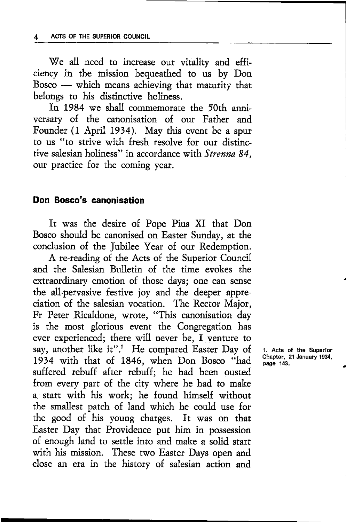We all need to increase our vitality and efficiency in the mission bequeathed to us by Don Bosco which means achieving that maturity that - belongs to his distinctive holiness.

In 1984 we shall commemorate the 50th anniversary of the canonisation of our Father and Founder (1 April 1934). May this event be a spur to us "to strive with fresh resolve for our distinctive salesian holiness" in accordance with Strenna 84, our practice for the coming year.

#### Don Bosco's canonisation

It was the desire of Pope Pius XI that Don Bosco should be canonised on Easter Sunday, at the conclusion of the Jubilee Year of our Redemption.

A re-reading of the Acts of the Superior Council and the Salesian Bulletin of the time evokes the extraordinary emotion of those days; one can sense the all-pervasive festive joy and the deeper appreciation of the salesian vocation. The Rector Major, Fr Peter Ricaldone, wrote, "This canonisation day is the most glorious event the Congregation has ever experienced; there will never be, I venture to say, another like it".<sup>1</sup> He compared Easter Day of 1934 with that of 1846, when Don Bosco "had suffered rebuff after rebuff; he had been ousted from every part of the city where he had to make a start with his work; he found himself without the smallest patch of land which he could use for the good of his young charges. It was on that Easter Day that Providence put him in possession of enough land to settle into and make a solid start with his mission. These two Easter Days open and close an era in the history of salesian action and

1. Acts of tho Superlor Chaptor, 21 January 1934, page 143.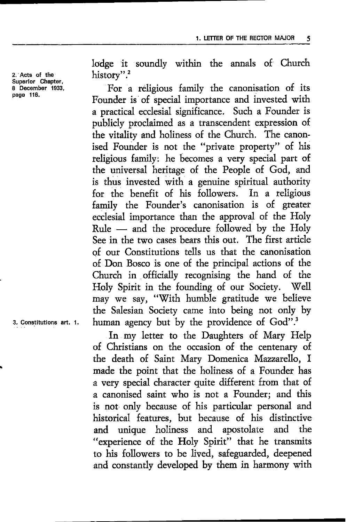2. Acts of the<br>Superior Chapter. 8 December 1933. page 116.

Iodge it soundly within the annals of Church history".2

For a religious family the canonisation of its Founder is of special importance and invested with a practical ecclesial significance. Such a Founder is publicly proclaimed as a transcendent expression of the vitality and holiness of the Church. The canonised Founder is not the "private property" of his religious family: he becomes a very special part of the universal heritage of the People of God, and is thus invested with a genuine spiritual authority for the benefit of his followers. In a religious family the Founder's canonisation is of greater ecclesial importance than the approval of the Holy Rule and the procedute followed by the Holy Ruit – and the procedure followed by the Troty<br>See in the two cases bears this out. The first article of our Constitutions tells us that the canonisation of Don Bosco is one of the principal actions of the Church in officially tecognising the hand of the Holy Spirit in the founding of our Society. Well may we say, "With humble gratitude we believe the Salesian Society came into being not only by human agency but by the providence of God".<sup>3</sup>

In my letter to the Daughters of Mary Help of Christians on the occasion of the centenary of the death of Saint Mary Domerica Mazzarello, I made the point that the holiness of a Founder has a very special character quite different from that of a canonised saint who is not a Founder; and this is not only because of his particular personal and historical featutes, but because of his distinctive and unique holiness and apostolate and the "experience of the Holy Spirit" that he transmits to his followers to be lived, safeguarded, deepened and constandy developed by them in hatmony with

3. Constitutions art. 1.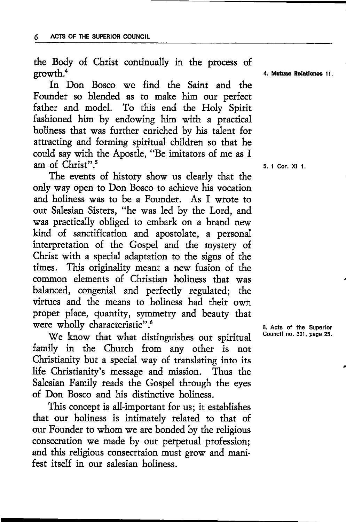the Body of Christ continually in the process of growth.<sup>4</sup>

In Don Bosco we find the Saint and the Founder so blended as to make him our perfect father and model. To this end the Holy Spirit fashioned him by endowing him with a practical holiness that was further enriched by his talent for attracting and forming spiritual children so that he could say with the Apostle, "Be imitators of me as I am of Christ".<sup>5</sup>

The events of history show us clearly that the only way open to Don Bosco to adrieve his vocation and holiness was to be a Founder. As I wrote to our Salesian Sisters, "he was led by the Lord, and was practically obliged to embark on a brand new kind of sanctification and apostolate, a personal interpretation of the Gospel and the mystery of Christ with a special adaptation to the signs of the times. This originality meant a new fusion of the common elements of Christian holiness that was balanced, congenial and perfectly regulated; the virtues and the means to holiness had their own proper place, quantity, symmetry and beauty that were wholly characteristic".<sup>6</sup>

We know that what distinguishes our spiritual fantly in the Church from any other is nor Christianity but a special. way of translating into its life Christianity's message and mission. Thus the Salesian Family reads the Gospel through the eyes of Don Bosco and his distinctive holiness.

This concept is all-important for us; it establishes that our holiness is intimately related to that of our Founder to whom we are bonded by the religious consecration we made by our perpetual profession; and this religious consecrtaion must grow and manifest itself in our salesian holiness.

4. Mutuao Relatlonos li

5. 1 Cor. Xl I

6, Acts of the Superlor Council no. 301, page 25.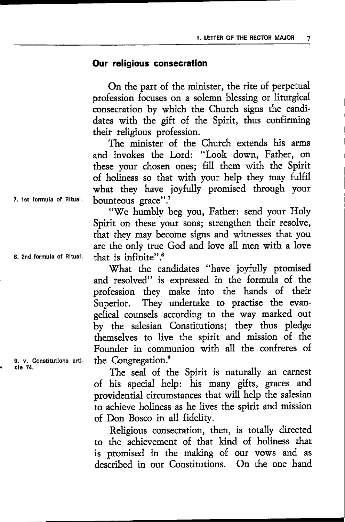#### Our religlous consecration

On the part of the minister, the rite of perpetual profession focuses on a solemn blessing or Iiturgical consecration by which the Church signs the candidates with the gift of the Spirit, thus confirming their religious profession.

The minister of the Church extends his arms and invokes the Lotd: "Look down, Father, on these your chosen ones; fill them with the Spirit of holiness so that with your help they may fulfil what they have joyfuIly promised through your bounteous grace".<sup>7</sup>

"We humbly beg you, Father: send your Holy Spirit on these your sons; strengthen their resolve, that they may become signs and witnesses that you are the only true God and love all men with a love<br>that is infinite".<sup>8</sup>

What the candidates "have joyfully promised and resolved" is expressed in the formula of the profession they make into the hands of their Superior. They undertake to practise the evangelical counsels according to the way marked out by the salesian Constitutions; they thus pledge themselves to live the spirit and mission of the Founder in communion with all the confreres of the Congregation.<sup>9</sup>

The seal of the Spirit is naturally an earnest of his special help: his many gifts, graces and providential circumstances that will help the salesian to achieve holiness as he lives the spirit and mission of Don Bosco in all fidelity.

Religious consecration, then, is totally directed to the achievement of that kind of holiness that is promised in the making of our vows and as described in our Constitutions. On the one hand

7. ist formula of Ritual.

8. 2nd formula of Bltual

9. v. Constitutions article 74,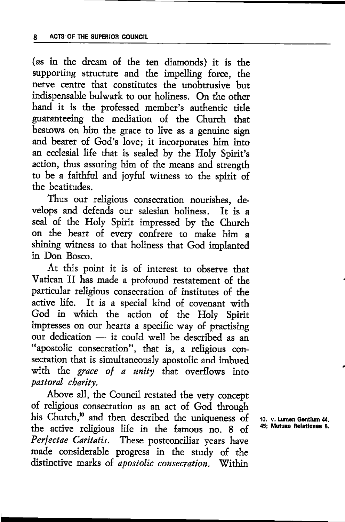(as in the dream of the ten diamonds) it is the supporting structure and the impelling force, the nerve centre that constitutes the unobtrusive but indispensable bulwark ro our holiness. On the other hand it is the professed member's authentic title guaranteeing the mediation of the Chuch that bestows on him the grace to live as a genuine sign and bearer of God's love; it incorporates him into an ecclesial life that is sealed by the Holy Spirit's action, thus assuring him of the means and strength to be a faithful and joyful witness to the spirit of the beatitudes.

Thus our religious consecration nourishes, develops and defends our salesian holiness. It is <sup>a</sup> seal of the Holy Spirit impressed by the Church on the heart of every confrere to make him <sup>a</sup> shining witness to that holiness that God implanted in Don Bosco.

At this point it is of interest to observe that Vatican II has made a profound restatement of the particular religious consecrarion of institutes of the active life. It is a special kind of covenant with God in which the action of the Holy Spirit impresses on our hearts a specific way of practising our dedication it could well be described as an our dedication — it could well be described as an<br>"apostolic consecration", that is, a religious consecration that is simultaneously apostolic and imbued with the grace of a unity that overflows into pastoral charity.

Above all, the Council restated the very concept of religious consecration as an act of God through his Church,<sup>10</sup> and then described the uniqueness of the active religious life in the famous no. 8 of Perfectae Caritatis. These postconciliar years have made considerable progress in the study of the distinctive marks of apostolic consecration. Within

10. v. Lumen Gentium 44, 45; Mutuae Relationes 8.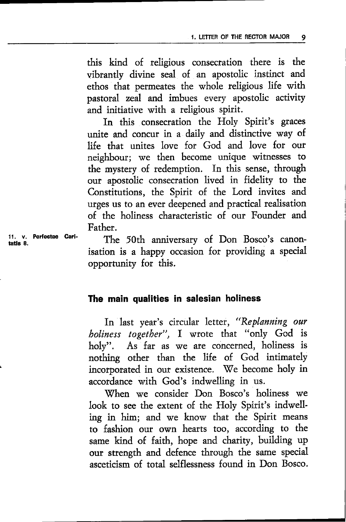this kind of religious consecration there is the vibrantly divine seal of an apostolic instinct and ethos that permeates the whole religious life with pastoral zeal and imbues every apostolic activity and initiative with a religious spirit.

In this consecration the Holy Spirit's graces unite and concur in a daily and distinctive way of life that unites love for God and love for out neighbour; we then become unique witnesses to the mystery of redemption. In this sense, thtough our apostolic consecration lived in fidelity to the Constitutions, the Spirit of the Lord invites and urges us to an ever deepened and practical realisation of the holiness characteristic of our Founder and Father.

11. v. Perfectae Carltatic R

The 50th anniversary of Don Bosco's canonisation is a happy occasion for providing a special opportunity for this.

# fhe main qualities in salesian holiness

In last year's circular letter, "Replanning our boliness together", I wrote that "only God is holy". As far as we are concerned, holiness is nothing othet than the life of God intimately incorporated in our existence. We become holy in accordance with God's indwelling in us.

When we consider Don Bosco's holiness we look to see the extent of the Holy Spirit's indwelling in him; and we know that the Spirit means to fashion our own hearts too, accotding to the same kind of faith, hope and charity, building up our strength and defence through the same special asceticism of total selflessness found in Don Bosco.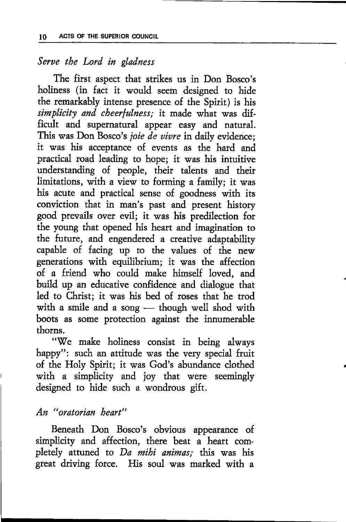# Serve the Lord in gladness

The first aspect that strikes us in Don Bosco's holiness (in fact it would seem designed to hide the remarkably intense presence of the Spirit) is his simplicity and cheerfulness; it made what was difficult and supernatural appear easy and natural.<br>This was Don Bosco's *joie de vivre* in daily evidence: it was his acceptance of events as the hard and practical road leading to hope; it was his intuitive understanding of people, their talents and their limitations, with a view to forming a family; it was his acute and practical sense of goodness with its conviction that in man's past and present history good prevails over evil; it was his predilection for the young that opened his heart and imagination to the future, and engendered a creative adaptability capable of facing up to the values of the new generations with equilibrium; it was the affection of a friend who could make himself loved, and build up an educative confidence and dialogue that led to Christ; it was his bed of roses that he trod with a smile and a song — though well shod with with a sinne and a song — though well shoot with<br>boots as some protection against the innumerable thorns.

"'We make holiness consist in being always happy": such an attitude was the very special fruit of the Holy Spirit; it was God's abundance clothed with a simplicity and joy that were seemingly designed to hide such a wondrous gift.

### An "oratorian beart"

Beneath Don Bosco's obvious appearance of simplicity and affection, there beat a heart completely attuned to Da mihi animas; this was his great driving force. His soul was marked with a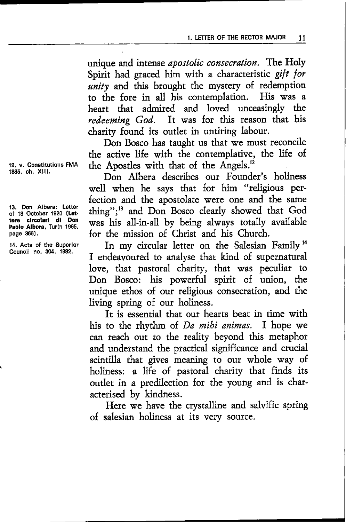unique and intense apostolic consecration. The Holy Spirit had graced him with a characteristic gift for unity and this brought the mystery of redemption to the fore in all his contemplation. IIis was <sup>a</sup> heart that admired and loved unceasingly the redeeming God. It was for this reason that his charity found its outlet in untiring labour.

Don Bosco has taught us that we must reconcile the active life with the contemplative, the life of the Apostles with that of the Angels.<sup>12</sup>

Don Albera describes our Founder's holiness well when he says that for him "religious perfection and the apostolate were one and the same thing";<sup>13</sup> and Don Bosco clearly showed that God was his all-in-all by being always totally available for the mission of Christ and his Church.

In my circular letter on the Salesian Family <sup>14</sup> I endeavoured to analyse that kind of supernatural love, that pastoral charity, that was peculiar to Don Bosco: his powerful spirit of union, the unique ethos of our religious consecration, and the living spring of our holiness.

It is essential that our hearts beat in time with his to the rhythm of *Da mihi animas*. I hope we can reach out to the reality beyond this metaphor and understand the practical significance and crucial scintilla that gives meaning to our whole way of holiness: a life of pastoral charity that finds its outlet in a predilection for the young and is characterised by kindness.

Here we have the crystalline and salvific spring of salesian holiness at its very source.

12. v. Constitutions FMA 1885, ch. Xlll.

13. Don Albera: Letter ot 18 October 1920 (Lettere clrcolarl dl Don Paolo Albera, Turin 1965, page 366).

14. Acts of the Superlor Councll no, 304, 1982.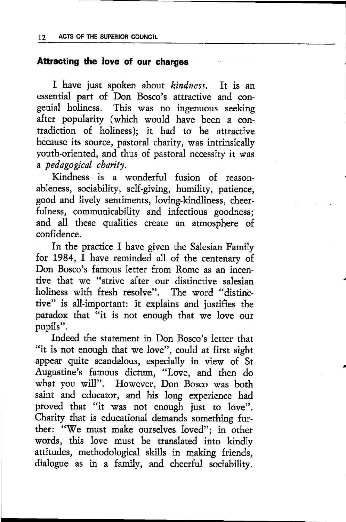# Attracting the love of our charges

I have just spoken about kindness. It is an essential part of Don Bosco's attractive and congenial holiness. This was no ingenuous seeking after popularity (which would have been a contradiction of holiness); it had to be attractive because its source, pastoral charity, was intrinsically youth-oriented, and thus of pastoral necessity it was a pedagogical cbarity.

Kindness is a wonderful fusion of reasonableness, sociability, self-giving, humility, patience, good and lively sentiments, loving-kindliness, cheerfulness, communicability and infectious goodness; and all these qualities create an atmosphere of confidence.

In the practice I have given the Salesian Family for 1984, I have reminded all of the cenrenary of Don Bosco's famous letter from Rome as an incentive that we "strive after our distinctive salesian holiness with fresh resolve". The word "distinctive" is all-important: it explains and justifies the paradox that "it is not enough that we love our pupils".

Indeed the statement in Don Bosco's letter that "it is not enough that we love", could at first sight appear quite scandalous, especially in view of St Augustine's famous dicrum, "Love, and then do what you will". However, Don Bosco was both saint and educator, and his long experience had proved that "it was not enough just to love". Charity that is educational demands something further: "We must make ourselves loved"; in other words, this love must be translated into kindly attitudes, methodological skills in making friends, dialogue as in a family, and cheerful sociability.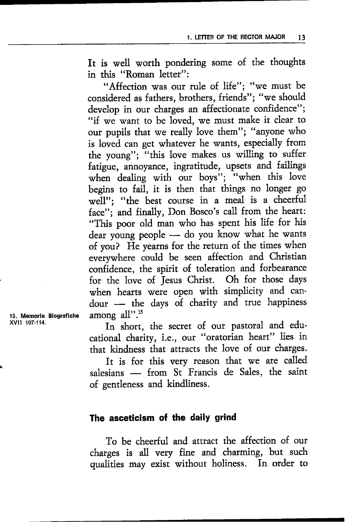It is well worth pondering some of the thoughts in this "Roman lettet":

"Affection was our rule of life"; "we must be considered as fathers, brothers, friends"; "we should develop in our charges an affectionate confidence"; "if we want to be loved, we must make it clear to our pupils that we really love them"; "anyone who is loved can get whatever he wants, especially from the young"; "this love makes us willing to suffer fatigue, annoyance, ingratitude, upsets and failings when dealing with our boys"; "when this love begins to fail, it is then that things no longer go well"; "the best course in a meal is a cheerful face"; and finally, Don Bosco's call from the heart: "This poor old man who has spent his life for his dear young people — do you know what he wants dear young people — do you know what he wanted<br>of you? He yearns for the return of the times when everrwhere could be seen affection and Christian confidence, the spirit of toleration and forbearance fot the love of Jesus Christ. Oh for those days when hearts were open with simplicity and candour the days of charity and true happiness  $_{\text{among all}''}$ .<sup>15</sup>

In short, the secret of our pastoral and educational chatity, i.e., our "oratorian heart" Iies in that kindness that attracts the love of our charges.

It is fot this very reason that we are called salesians - from St Francis de Sales, the saint satesians – from 5t Frances.<br>of gentleness and kindliness.

### The asceticism of the daily grind

To be cheerful and atttact the affection of our charges is all very fine and charming, but such qualities may exist without holiness. In order to

15, Memorle Blograflche xvil 107-114.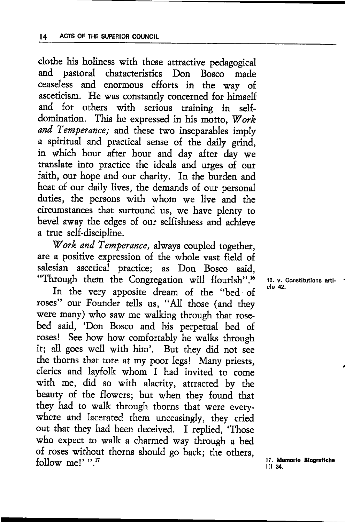clothe his holiness with these attractive pedagogical and pastoral characteristics Don Bosco made ceaseless and enormous efforts in the way of asceticism. He was constantly concerned for himself and for others with serious training in selfdomination. This he expressed in his motto, Work and Temperance; and these two inseparables imply a spiritual and practical sense of the daily grind, in which hour after hour and day after day we ttanslate into practice the ideals and urges of our faith, our hope and our charity. In the burden and heat of our daily lives, the demands of our personal duties, the persons with whom we live and the circumstances that surround us, we have plenry to bevel away the edges of our selfishness and achieve a true self-discipline.

Work and Temperance, always coupled together, are a positive expression of the whole vast field of salesian ascetical practice; as Don Bosco said, "Through them the Congregation will flourish".<sup>16</sup>

In the very apposite dream of the "bed of roses" our Founder tells us, "All those (and they were many) who saw me walking through that rosebed said, 'Don Bosco and his perpetual bed of roses! See how how comfortably he walks through it; all goes well with him'. But they did not see the thorns that tore at my poor legs! Many priests, clerics and layfolk whom I had invited to come with me, did so with alacrity, attracted by the beauty of the flowers; but when they found that they had to walk through thoms that were everywhere and lacerated them unceasingly, they cried out that they had been deceived. I replied, 'Those who expect to walk a charmed way through a bed of roses without thorns should go back; the others, follow me!'".<sup>17</sup>

16. v. Constitutions articlo 42.

17. Memorie Biografiche<br>iil 34.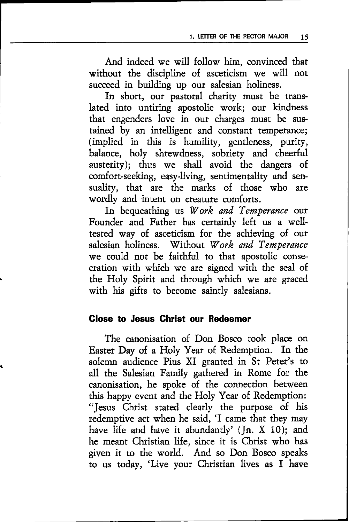And indeed we will follow him, convinced that without the discipline of asceticism we will not succeed in building up our salesian holiness.

In short, our pastoral charity must be translated into untiring apostolic work; our kindness that engenders love in our charges must be sustained by an intelligent and constant temperance; (implied in this is humility, gentleness, puriry, balance, holy shrewdness, sobriety and cheerful austerity); thus we shall avoid the dangers of comfort-seeking, easy-living, sentimentality and sensuality, that are the marks of those who are wotdly and intent on creature comforts.

In bequeathing us Work and Temperance our Foundet and Fathet has certainly left us a welltested way of asceticism for the achieving of our salesian holiness. Without Work and Temperance we could not be faithful to that apostolic consecration with which we are signed with the seal of the Holy Spirit and through which we are graced with his gifts to become saintly salesians.

### Glose to Jesus Ghrist our Redeemer

The canonisation of Don Bosco took place on Easter Day of a Holy Year of Redemption. In the solemn audience Pius XI granted in St Peter's to all the Salesian Family gathered in Rome for the canonisation, he spoke of the connection between this happy event and the Holy Year of Redemption: "Jesus Christ stated clearly the purpose of his redemptive act when he said, 'I came that they may have life and have it abundantly' (Jn. X 10); and he meant Christian life, since it is Christ who has given it to the world. And so Don Bosco speaks to us today, 'Live your Christian lives as I have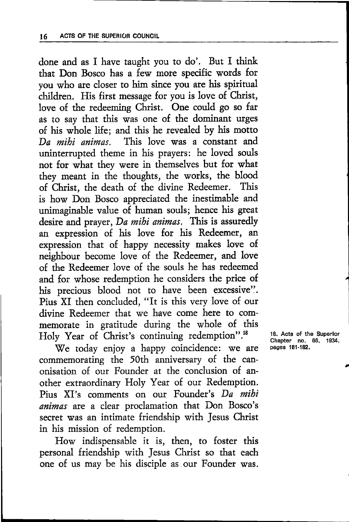done and as I have taught you to do'. But I think that Don Bosco has a few more specific words for you who are closer to him since you are his spiritual children. His first message for you is love of Christ, love of the redeeming Christ. One could go so far as to say that this was one of the dominant urges of his whole life; and this he revealed by his motto Da mihi animas. This love was a constant and uninterrupted theme in his prayers: he loved souls not for what they were in themselves but fot what they meant in the thoughts, the works, the blood of Christ, the death of the divine Redeemer. This is how Don Bosco appreciated the inestimable and unimaginable value of human souls; hence his great desire and prayer, Da mihi animas. This is assuredly an expression of his love for his Redeemer, an expression that of happy necessity makes love of neighbour become love of the Redeemer, and love of the Redeemer love of the souls he has redeemed and for whose redemption he considers the price of his precious blood not to have been excessive". Pius XI then concluded, "It is this very love of our divine Redeemer that we have come hete to commemorate in gratitude during the whole of this Holy Year of Christ's continuing redemption".<sup>18</sup>

We today enjoy a happy coincidence: we are commemorating the 50th anniversary of the canonisation of our Founder at the conclusion of another extaordinary Holy Year of our Redemption. Pius XI's comments on our Founder's Da mihi animas are a clear proclamation that Don Bosco's secret was an intimate friendship with Jesus Christ in his mission of redemption.

How indispensable it is, then, to foster this personal friendship with Jesus Christ so that each one of us may be his disciple as.our Founder was. 18. Acts of the Superior Chapter no. 66. 1934, pages 181-182.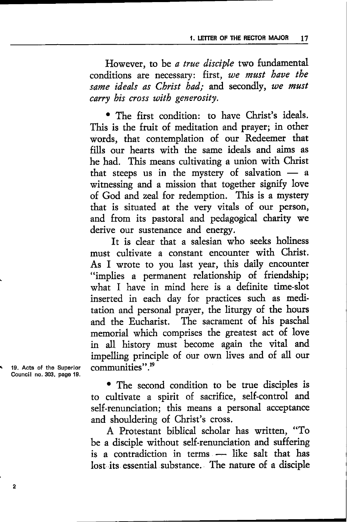However, to be a true disciple two fundamental conditions are necessary: first, we must have the same ideals as Christ had; and secondly, we must carry bis cross uith generosity.

' The fitst condition: to have Christ's ideals. This is the fruit of meditation and prayer; in other words, that contemplation of out Redeemer that fills our hearts with the same ideals and aims as he had. This means cultivating a union with Christ that steeps us in the mystery of salvation a  $\frac{d}{dx}$  sites that the mystery of salvation  $\frac{d}{dx}$  a witnessing and a mission that together signify love of God and zeal for redemption. This is a mystery that is situated at the very vitals of our person, and ftom its pastoral and pedagogical charity we derive our sustenance and energy.

It is clear that a salesian who seeks holiness must cultivate a constant encounter with Christ. As I wrote to you last year, this daily encounter "implies a permanent telationship of friendship; what I have in mind here is a definite time-slot inserted in each day for practices such as meditation and petsonal prayer, the liturgy of the hours and the Eucharist. The sacrament of his paschal memorial which comprises the greatest act of love in all history must become again the vital and impelling principle of our own lives and of all our communities".<sup>19</sup>

' The second condition to be true disciples is to cultivate a spirit of sacrifice, self-control and self-renunciation; this means a personal acceptance

and shouldering of Christ's cross.

A Protestant biblical scholat has wtitten, "To be a disciple without self-renunciation and suffering is a contradiction in terms -- like salt that has lost its essential substance. The nature of a disciple

19, Acts of the Superlor Councll no.303, page 19.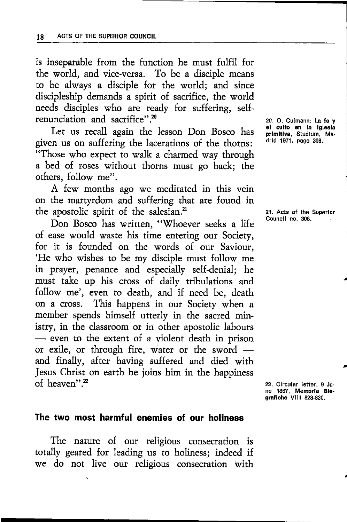is inseparable from the function he must fulfil for the world, and vice-versa. To be a disciple means to be always a disciple for the world; and since discipleship demands a spirit of sacrifice, the world needs disciples who are ready for suffering, selfrenunciation and sacrifice". $20$ 

Let us recall again the lesson Don Bosco has given us on suffering the lacerations of the thoms: "Those who expect to walk a charmed way through a bed of roses without thorns must go back; the others, follow me".

A few months ago we meditated in this vein on the martyrdom and suffering that are found in the apostolic spirit of the salesian.<sup>21</sup>

Don Bosco has written, "Whoever seeks a life of ease would waste his time entering our Society, for it is founded on the words of our Saviour, 'He who wishes to be my disciple must follow me in prayer, penance and especially self-denial; he must take up his cross of daily tribulations and follow me', even to death, and if need be, death on a cross. This happens in our Society when <sup>a</sup> member spends himself utterly in the sacred ministry, in the classroom or in other apostolic labours - even to the extent of a violent death in prison exile, or through fire, water or the sword - even to the extent of a violent death in prison and finally, after having suffered and died with Jesus Christ on earth he joins him in the happiness of heaven".<sup>22</sup>

20. O. Culmann: La fe y el culto en la lglesla prlmltlva, Studlum, Madrld 1971, page 308.

21. Acts of tho Superlor Councll no. 308,

a

22. Circular letter, 9 June 1867, Memorie Blo-<br>grafiche VIII 828-830.

### The two most harmful enemies of our holiness

The nature of our religious consecration is totally geared for leading us to holiness; indeed if we do not live our religious consecration with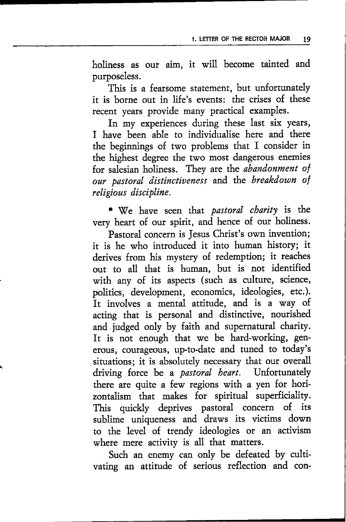holiness as our aim, it will become tainted and purposeless.

This is a fearsome statement, but unfortunately it is borne out in life's events: the crises of these recent years provide many practical examples.

In my experiences during these last six years, I have been able to individualise here and there the beginnings of two problems that I consider in the highest degree the two most dangerous enemies for salesian holiness. They are the *abandonment* of our pastoral distinctiveness and the breakdown of religious discipline.

. We have seen that pastoral charity is the very heart of our spirit, and hence of our holiness.

Pastoral concern is Jesus Christ's own invention; it is he who introduced it into human history; it derives from his mystery of redemption; it reaches out to all, that is human, but is not identified with any of its aspects (such as culture, science, politics, development, economics, ideologies, etc.). It involves a mental attitude, and is a way of. acting that is personal and distinctive, nourished and judged only by faith and supematural charity. It is not enough that we be hard-working, generous, courageous, up.to-date and tuned to today's situations; it is absolutely necessary that our overall driving force be a *pastoral heart*. Unfortunately there are quite a few regions with a yen for hori zontalism that makes fot spiritual superficiality. This quickly deprives pastoral concern of its sublime uniqueness and draws its victims down to the level of rendy ideologies or an activism where mere activity is all that matters.

Such an enemy can only be defeated by cultivating an attitude of serious reflection and con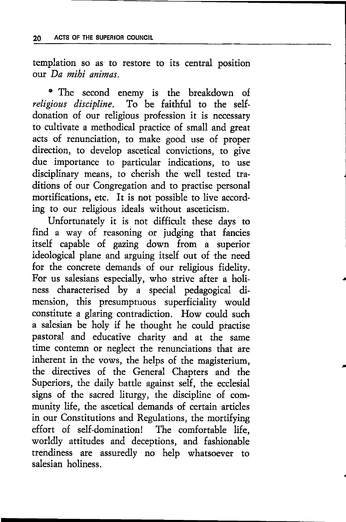templation so as to restore to its central position our Da mihi animas

· The second enemy is the breakdown of religious discipline. To be faithful to the selfdonation of our religious profession it is necessary to cultivate a methodical practice of small and great acts of renunciation, to make good use of proper direction, to develop ascetical convictions, to give due importance to particular indications, to use disciplinary means, to cherish the well tested traditions of our Congregation and to practise personal mortifications, etc. It is not possible to live according to our religious ideals without asceticism.

Unfortunately it is not difficult these days to find a way of reasoning or judging that fancies itself capable of gazing down from a superior ideological plane and arguing itself out of the need for the concrete demands of our religious fidelity. For us salesians especially, who strive after a holiness characterised by a special pedagogical dimension, this presumptuous superficiality would constitute a glaring contradiction. How could such a salesian be holy if he thought he could practise pastoral and educative charity and at the same time contemn or neglect the renunciations that arc inherent in the vows, the helps of the magisrerium, the ditectives of the General Chapters and the Superiors, the daily battle against self, the ecclesial signs of the sacred liturgy, the discipline of community life, the ascetical demands of certain articles in our Constitutions and Regulations, the mortifying effot of self-domination! The comfortable life, worldly attitudes and deceptions, and fashionable trehdiness are assuredly no help whatsoever to salesian holiness.

t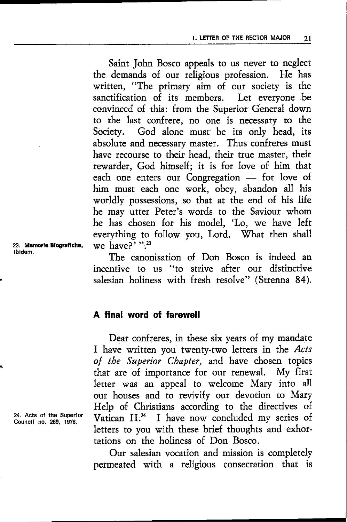Saint John Bosco appeals to us never to neglect the demands of our religious profession. He has written, "The primary aim of our society is the sanctification of its members. Let everyone be convinced of this: from the Superior General down to the last confrere, no one is necessary to the Society. God alone must be its only head, its absolute and necessary master. Thus confreres must have recourse to their head, their true master, their rewarder, God himself; it is for love of him that each one enters our Congregation - for love of - him must each one work, obey, abandon all his worldly possessions, so that at the end of his life he may utter Peter's words to the Saviour whom he has chosen for his model, 'Lo, we have left everything to follow you, Lord. What then shall we have? $v^3$ .

The canonisation of Don Bosco is indeed an incentive to us "to strive after our distinctive salesian holiness with fresh resolve" (Strenna 84).

#### A final word of farewell

Dear confreres, in these six years of my mandate I have written you twenty-two letters in the Acts of the Superior Chapter, and have chosen topics rhat arc of importance for our renewal. My first letter was an appeal to welcome Mary into all our houses and to revivify our devotion to Mary Help of Christians according to the directives of Vatican II.<sup>24</sup> I have now concluded my series of letters to you with these brief thoughts and exhortations on the holiness of Don Bosco.

Our salesian vocation and mission is completely permeated with a religious consecration that is

23. Memorle Blogratlcho, lbidem.

24. Acts of tho Superlor Councll no.289,1978.